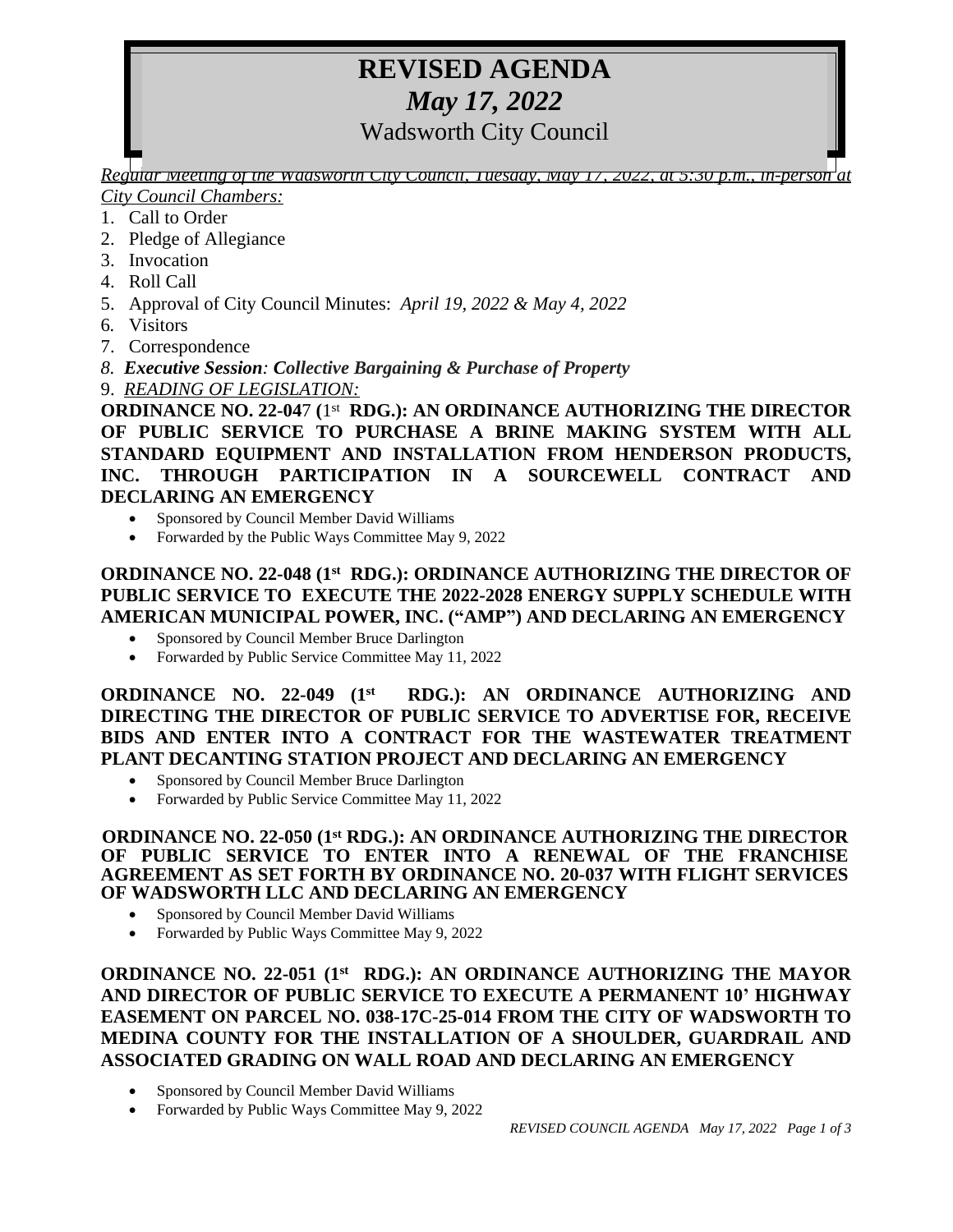# **REVISED AGENDA** *May 17, 2022* Wadsworth City Council

*Regular Meeting of the Wadsworth City Council, Tuesday, May 17, 2022, at 5:30 p.m., in-person at City Council Chambers:*

- 1. Call to Order
- 2. Pledge of Allegiance
- 3. Invocation
- 4. Roll Call
- 5. Approval of City Council Minutes: *April 19, 2022 & May 4, 2022*
- 6*.* Visitors
- 7. Correspondence
- *8. Executive Session: Collective Bargaining & Purchase of Property*
- 9. *READING OF LEGISLATION:*

**ORDINANCE NO. 22-04**7 **(**1 st **RDG.): AN ORDINANCE AUTHORIZING THE DIRECTOR OF PUBLIC SERVICE TO PURCHASE A BRINE MAKING SYSTEM WITH ALL STANDARD EQUIPMENT AND INSTALLATION FROM HENDERSON PRODUCTS, INC. THROUGH PARTICIPATION IN A SOURCEWELL CONTRACT AND DECLARING AN EMERGENCY** 

- Sponsored by Council Member David Williams
- Forwarded by the Public Ways Committee May 9, 2022

## **ORDINANCE NO. 22-048 (1st RDG.): ORDINANCE AUTHORIZING THE DIRECTOR OF PUBLIC SERVICE TO EXECUTE THE 2022-2028 ENERGY SUPPLY SCHEDULE WITH AMERICAN MUNICIPAL POWER, INC. ("AMP") AND DECLARING AN EMERGENCY**

- Sponsored by Council Member Bruce Darlington
- Forwarded by Public Service Committee May 11, 2022

**ORDINANCE NO. 22-049 (1st RDG.): AN ORDINANCE AUTHORIZING AND DIRECTING THE DIRECTOR OF PUBLIC SERVICE TO ADVERTISE FOR, RECEIVE BIDS AND ENTER INTO A CONTRACT FOR THE WASTEWATER TREATMENT PLANT DECANTING STATION PROJECT AND DECLARING AN EMERGENCY**

- Sponsored by Council Member Bruce Darlington
- Forwarded by Public Service Committee May 11, 2022

#### **ORDINANCE NO. 22-050 (1st RDG.): AN ORDINANCE AUTHORIZING THE DIRECTOR OF PUBLIC SERVICE TO ENTER INTO A RENEWAL OF THE FRANCHISE AGREEMENT AS SET FORTH BY ORDINANCE NO. 20-037 WITH FLIGHT SERVICES OF WADSWORTH LLC AND DECLARING AN EMERGENCY**

- Sponsored by Council Member David Williams
- Forwarded by Public Ways Committee May 9, 2022

**ORDINANCE NO. 22-051 (1st RDG.): AN ORDINANCE AUTHORIZING THE MAYOR AND DIRECTOR OF PUBLIC SERVICE TO EXECUTE A PERMANENT 10' HIGHWAY EASEMENT ON PARCEL NO. 038-17C-25-014 FROM THE CITY OF WADSWORTH TO MEDINA COUNTY FOR THE INSTALLATION OF A SHOULDER, GUARDRAIL AND ASSOCIATED GRADING ON WALL ROAD AND DECLARING AN EMERGENCY**

- Sponsored by Council Member David Williams
- Forwarded by Public Ways Committee May 9, 2022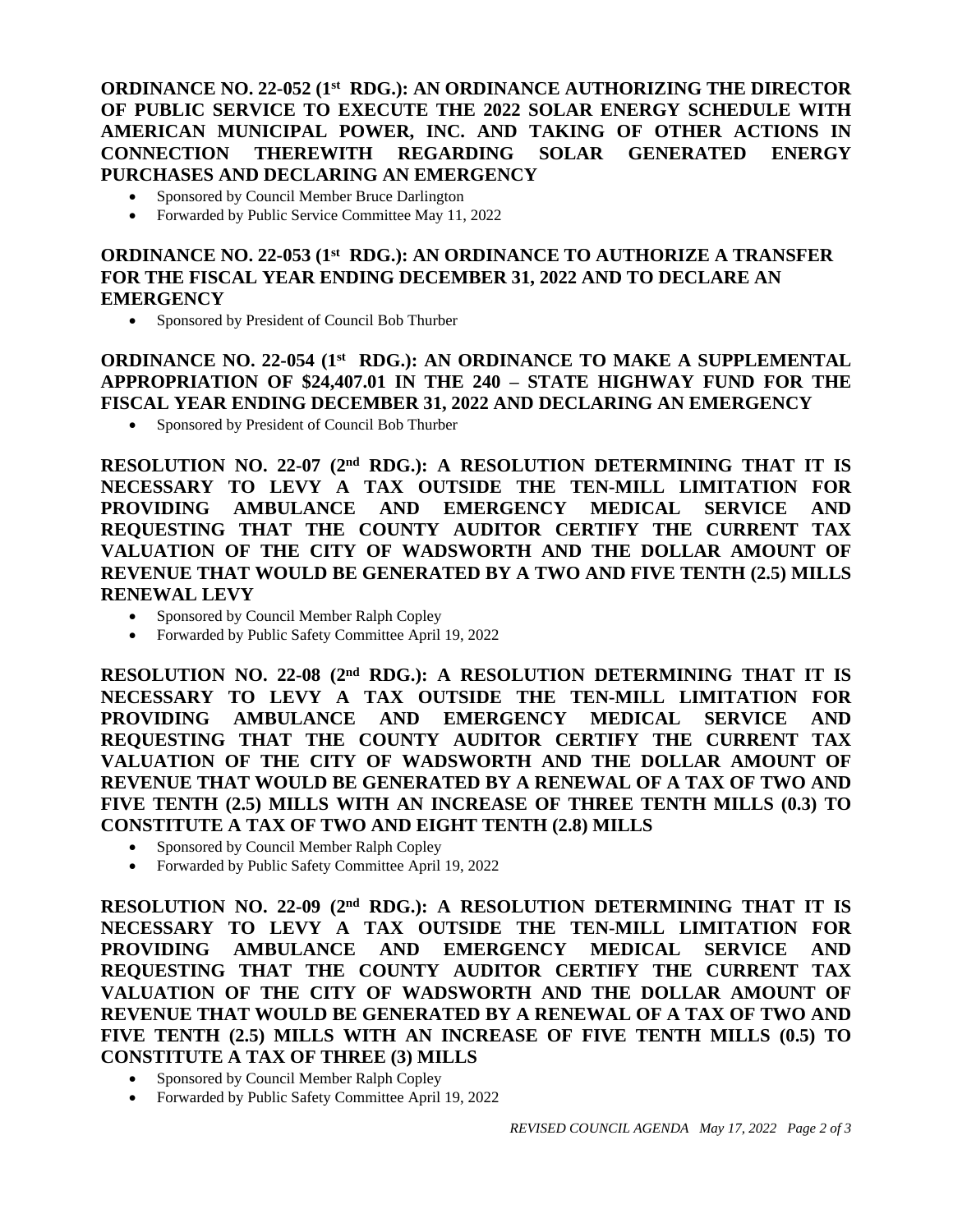**ORDINANCE NO. 22-052 (1st RDG.): AN ORDINANCE AUTHORIZING THE DIRECTOR OF PUBLIC SERVICE TO EXECUTE THE 2022 SOLAR ENERGY SCHEDULE WITH AMERICAN MUNICIPAL POWER, INC. AND TAKING OF OTHER ACTIONS IN CONNECTION THEREWITH REGARDING SOLAR GENERATED ENERGY PURCHASES AND DECLARING AN EMERGENCY**

- Sponsored by Council Member Bruce Darlington
- Forwarded by Public Service Committee May 11, 2022

### **ORDINANCE NO. 22-053 (1st RDG.): AN ORDINANCE TO AUTHORIZE A TRANSFER FOR THE FISCAL YEAR ENDING DECEMBER 31, 2022 AND TO DECLARE AN EMERGENCY**

Sponsored by President of Council Bob Thurber

**ORDINANCE NO. 22-054 (1st RDG.): AN ORDINANCE TO MAKE A SUPPLEMENTAL APPROPRIATION OF \$24,407.01 IN THE 240 – STATE HIGHWAY FUND FOR THE FISCAL YEAR ENDING DECEMBER 31, 2022 AND DECLARING AN EMERGENCY**

Sponsored by President of Council Bob Thurber

**RESOLUTION NO. 22-07 (2 nd RDG.): A RESOLUTION DETERMINING THAT IT IS NECESSARY TO LEVY A TAX OUTSIDE THE TEN-MILL LIMITATION FOR PROVIDING AMBULANCE AND EMERGENCY MEDICAL SERVICE AND REQUESTING THAT THE COUNTY AUDITOR CERTIFY THE CURRENT TAX VALUATION OF THE CITY OF WADSWORTH AND THE DOLLAR AMOUNT OF REVENUE THAT WOULD BE GENERATED BY A TWO AND FIVE TENTH (2.5) MILLS RENEWAL LEVY** 

- Sponsored by Council Member Ralph Copley
- Forwarded by Public Safety Committee April 19, 2022

**RESOLUTION NO. 22-08 (2 nd RDG.): A RESOLUTION DETERMINING THAT IT IS NECESSARY TO LEVY A TAX OUTSIDE THE TEN-MILL LIMITATION FOR PROVIDING AMBULANCE AND EMERGENCY MEDICAL SERVICE AND REQUESTING THAT THE COUNTY AUDITOR CERTIFY THE CURRENT TAX VALUATION OF THE CITY OF WADSWORTH AND THE DOLLAR AMOUNT OF REVENUE THAT WOULD BE GENERATED BY A RENEWAL OF A TAX OF TWO AND FIVE TENTH (2.5) MILLS WITH AN INCREASE OF THREE TENTH MILLS (0.3) TO CONSTITUTE A TAX OF TWO AND EIGHT TENTH (2.8) MILLS** 

- Sponsored by Council Member Ralph Copley
- Forwarded by Public Safety Committee April 19, 2022

**RESOLUTION NO. 22-09 (2 nd RDG.): A RESOLUTION DETERMINING THAT IT IS NECESSARY TO LEVY A TAX OUTSIDE THE TEN-MILL LIMITATION FOR PROVIDING AMBULANCE AND EMERGENCY MEDICAL SERVICE AND REQUESTING THAT THE COUNTY AUDITOR CERTIFY THE CURRENT TAX VALUATION OF THE CITY OF WADSWORTH AND THE DOLLAR AMOUNT OF REVENUE THAT WOULD BE GENERATED BY A RENEWAL OF A TAX OF TWO AND FIVE TENTH (2.5) MILLS WITH AN INCREASE OF FIVE TENTH MILLS (0.5) TO CONSTITUTE A TAX OF THREE (3) MILLS** 

- Sponsored by Council Member Ralph Copley
- Forwarded by Public Safety Committee April 19, 2022